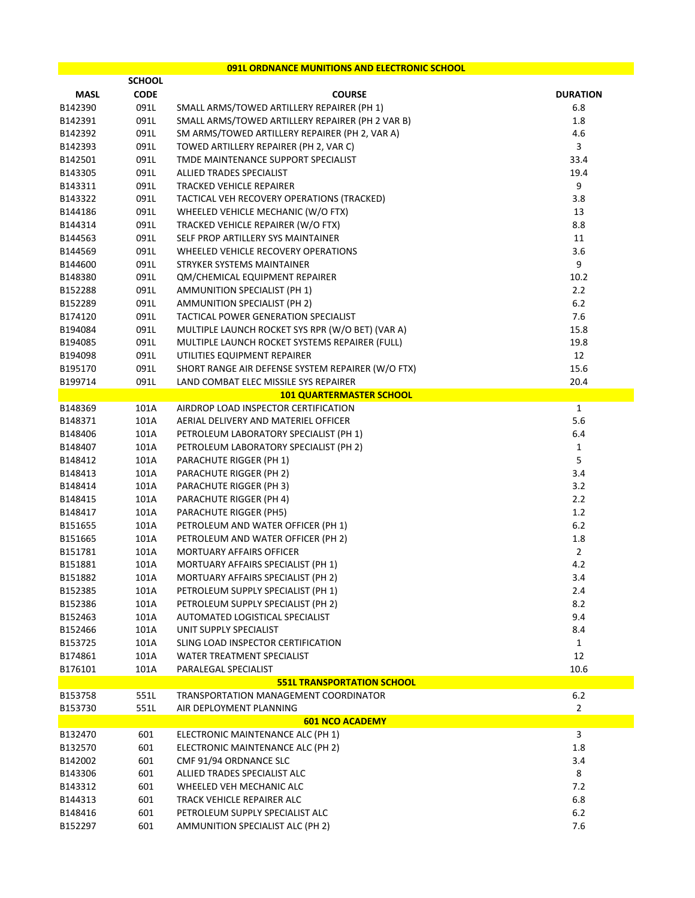## **091L ORDNANCE MUNITIONS AND ELECTRONIC SCHOOL**

|             | <b>SCHOOL</b> |                                                           |                         |
|-------------|---------------|-----------------------------------------------------------|-------------------------|
| <b>MASL</b> | <b>CODE</b>   | <b>COURSE</b>                                             | <b>DURATION</b>         |
| B142390     | 091L          | SMALL ARMS/TOWED ARTILLERY REPAIRER (PH 1)                | 6.8                     |
| B142391     | 091L          | SMALL ARMS/TOWED ARTILLERY REPAIRER (PH 2 VAR B)          | 1.8                     |
| B142392     | 091L          | SM ARMS/TOWED ARTILLERY REPAIRER (PH 2, VAR A)            | 4.6                     |
| B142393     | 091L          | TOWED ARTILLERY REPAIRER (PH 2, VAR C)                    | $\overline{\mathbf{3}}$ |
| B142501     | 091L          | TMDE MAINTENANCE SUPPORT SPECIALIST                       | 33.4                    |
| B143305     | 091L          | ALLIED TRADES SPECIALIST                                  | 19.4                    |
| B143311     | 091L          | TRACKED VEHICLE REPAIRER                                  | 9                       |
| B143322     | 091L          | TACTICAL VEH RECOVERY OPERATIONS (TRACKED)                | 3.8                     |
| B144186     | 091L          | WHEELED VEHICLE MECHANIC (W/O FTX)                        | 13                      |
| B144314     | 091L          | TRACKED VEHICLE REPAIRER (W/O FTX)                        | 8.8                     |
| B144563     | 091L          | SELF PROP ARTILLERY SYS MAINTAINER                        | 11                      |
| B144569     | 091L          | WHEELED VEHICLE RECOVERY OPERATIONS                       | 3.6                     |
| B144600     | 091L          | STRYKER SYSTEMS MAINTAINER                                | 9                       |
| B148380     | 091L          | QM/CHEMICAL EQUIPMENT REPAIRER                            | 10.2                    |
| B152288     | 091L          | AMMUNITION SPECIALIST (PH 1)                              | 2.2                     |
| B152289     | 091L          | <b>AMMUNITION SPECIALIST (PH 2)</b>                       | 6.2                     |
| B174120     | 091L          | TACTICAL POWER GENERATION SPECIALIST                      | 7.6                     |
| B194084     | 091L          | MULTIPLE LAUNCH ROCKET SYS RPR (W/O BET) (VAR A)          | 15.8                    |
| B194085     | 091L          | MULTIPLE LAUNCH ROCKET SYSTEMS REPAIRER (FULL)            | 19.8                    |
| B194098     | 091L          | UTILITIES EQUIPMENT REPAIRER                              | 12                      |
| B195170     | 091L          | SHORT RANGE AIR DEFENSE SYSTEM REPAIRER (W/O FTX)         | 15.6                    |
| B199714     | 091L          | LAND COMBAT ELEC MISSILE SYS REPAIRER                     | 20.4                    |
|             |               | <b>101 QUARTERMASTER SCHOOL</b>                           |                         |
| B148369     | 101A          | AIRDROP LOAD INSPECTOR CERTIFICATION                      | $\mathbf{1}$            |
| B148371     | 101A          | AERIAL DELIVERY AND MATERIEL OFFICER                      | 5.6                     |
| B148406     | 101A          | PETROLEUM LABORATORY SPECIALIST (PH 1)                    | 6.4                     |
| B148407     | 101A          | PETROLEUM LABORATORY SPECIALIST (PH 2)                    | $\mathbf{1}$            |
| B148412     | 101A          | PARACHUTE RIGGER (PH 1)                                   | 5                       |
| B148413     | 101A          | PARACHUTE RIGGER (PH 2)                                   | 3.4                     |
| B148414     | 101A          | PARACHUTE RIGGER (PH 3)                                   | 3.2                     |
| B148415     | 101A          | PARACHUTE RIGGER (PH 4)                                   | 2.2                     |
| B148417     | 101A          | PARACHUTE RIGGER (PH5)                                    | 1.2                     |
| B151655     | 101A          | PETROLEUM AND WATER OFFICER (PH 1)                        | 6.2                     |
| B151665     | 101A          | PETROLEUM AND WATER OFFICER (PH 2)                        | 1.8                     |
| B151781     | 101A          | <b>MORTUARY AFFAIRS OFFICER</b>                           | $\overline{2}$          |
| B151881     | 101A          | MORTUARY AFFAIRS SPECIALIST (PH 1)                        | 4.2                     |
| B151882     | 101A          | <b>MORTUARY AFFAIRS SPECIALIST (PH 2)</b>                 | 3.4                     |
| B152385     | 101A          | PETROLEUM SUPPLY SPECIALIST (PH 1)                        | 2.4                     |
| B152386     | 101A          | PETROLEUM SUPPLY SPECIALIST (PH 2)                        | 8.2                     |
| B152463     | 101A          | AUTOMATED LOGISTICAL SPECIALIST                           | 9.4                     |
| B152466     | 101A          | UNIT SUPPLY SPECIALIST                                    | 8.4                     |
| B153725     | 101A          | SLING LOAD INSPECTOR CERTIFICATION                        | $\mathbf{1}$            |
|             | 101A          | WATER TREATMENT SPECIALIST                                | 12                      |
| B174861     |               |                                                           |                         |
| B176101     | 101A          | PARALEGAL SPECIALIST<br><b>551L TRANSPORTATION SCHOOL</b> | 10.6                    |
|             | 551L          | TRANSPORTATION MANAGEMENT COORDINATOR                     | $6.2\,$                 |
| B153758     |               |                                                           |                         |
| B153730     | 551L          | AIR DEPLOYMENT PLANNING                                   | $\overline{2}$          |
|             | 601           | <b>601 NCO ACADEMY</b>                                    | 3                       |
| B132470     |               | ELECTRONIC MAINTENANCE ALC (PH 1)                         |                         |
| B132570     | 601           | ELECTRONIC MAINTENANCE ALC (PH 2)                         | 1.8                     |
| B142002     | 601           | CMF 91/94 ORDNANCE SLC                                    | 3.4                     |
| B143306     | 601           | ALLIED TRADES SPECIALIST ALC                              | 8                       |
| B143312     | 601           | WHEELED VEH MECHANIC ALC                                  | 7.2                     |
| B144313     | 601           | TRACK VEHICLE REPAIRER ALC                                | 6.8                     |
| B148416     | 601           | PETROLEUM SUPPLY SPECIALIST ALC                           | $6.2\,$                 |
| B152297     | 601           | AMMUNITION SPECIALIST ALC (PH 2)                          | 7.6                     |